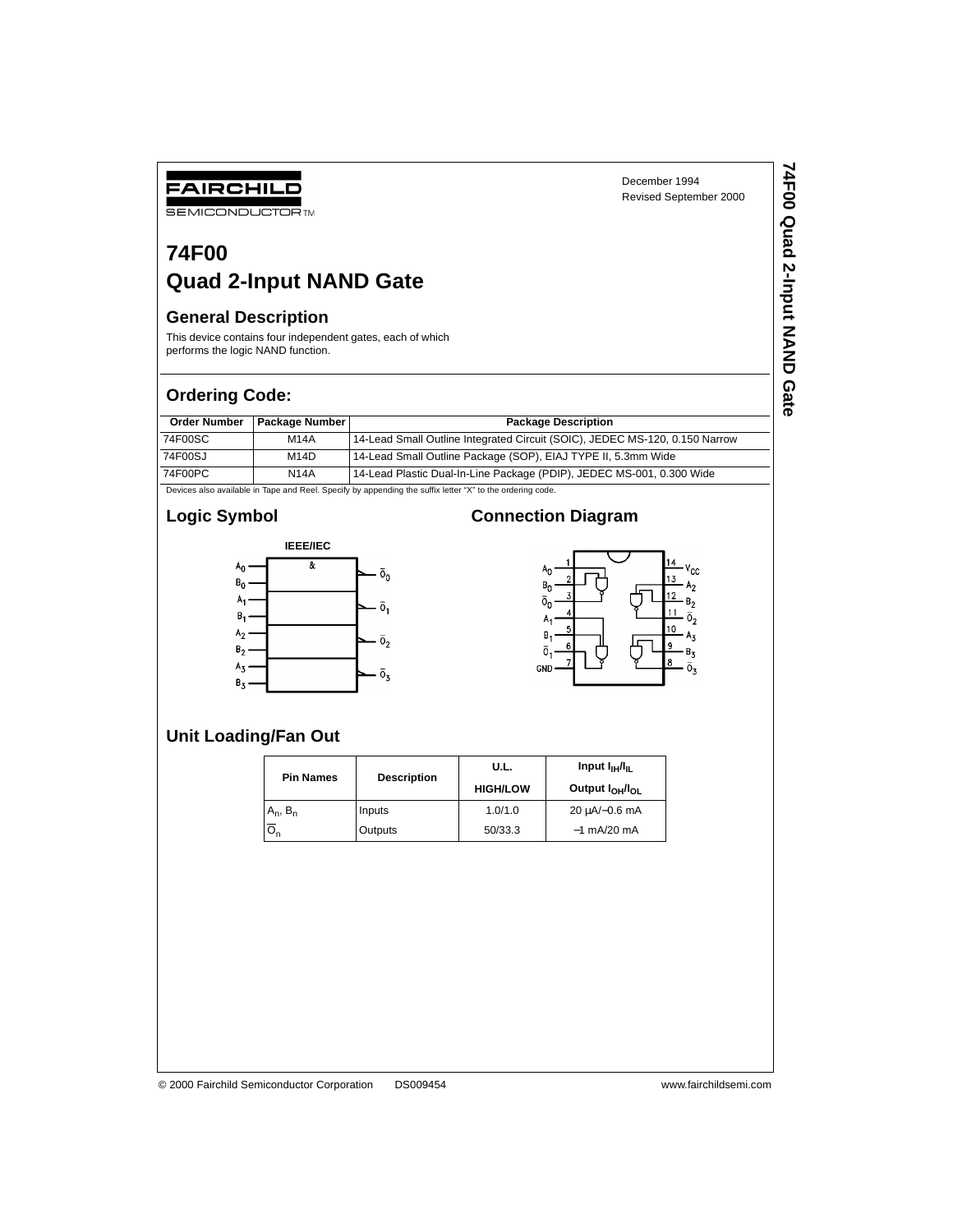# **74F00 Quad 2-Input NAND Gate**

#### **General Description**

FAIRCHILD **SEMICONDUCTOR TM** 

This device contains four independent gates, each of which performs the logic NAND function.

## **Ordering Code:**

| <b>Order Number</b> | Package Number | <b>Package Description</b>                                                  |
|---------------------|----------------|-----------------------------------------------------------------------------|
| 74F00SC             | <b>M14A</b>    | 14-Lead Small Outline Integrated Circuit (SOIC), JEDEC MS-120, 0.150 Narrow |
| 74F00SJ             | M14D           | 14-Lead Small Outline Package (SOP), EIAJ TYPE II, 5.3mm Wide               |
| 74F00PC             | <b>N14A</b>    | 14-Lead Plastic Dual-In-Line Package (PDIP), JEDEC MS-001, 0.300 Wide       |

Devices also available in Tape and Reel. Specify by appending the suffix letter "X" to the ordering code.

# **Logic Symbol**



## **Connection Diagram**



# **Unit Loading/Fan Out**

| <b>Pin Names</b> | <b>Description</b> | U.L.            | Input $I_{\text{H}}/I_{\text{H}}$       |  |  |
|------------------|--------------------|-----------------|-----------------------------------------|--|--|
|                  |                    | <b>HIGH/LOW</b> | Output I <sub>OH</sub> /I <sub>OL</sub> |  |  |
| $A_n$ , $B_n$    | Inputs             | 1.0/1.0         | $20 \mu A/-0.6 \text{ mA}$              |  |  |
| ี∽               | Outputs            | 50/33.3         | $-1$ mA/20 mA                           |  |  |